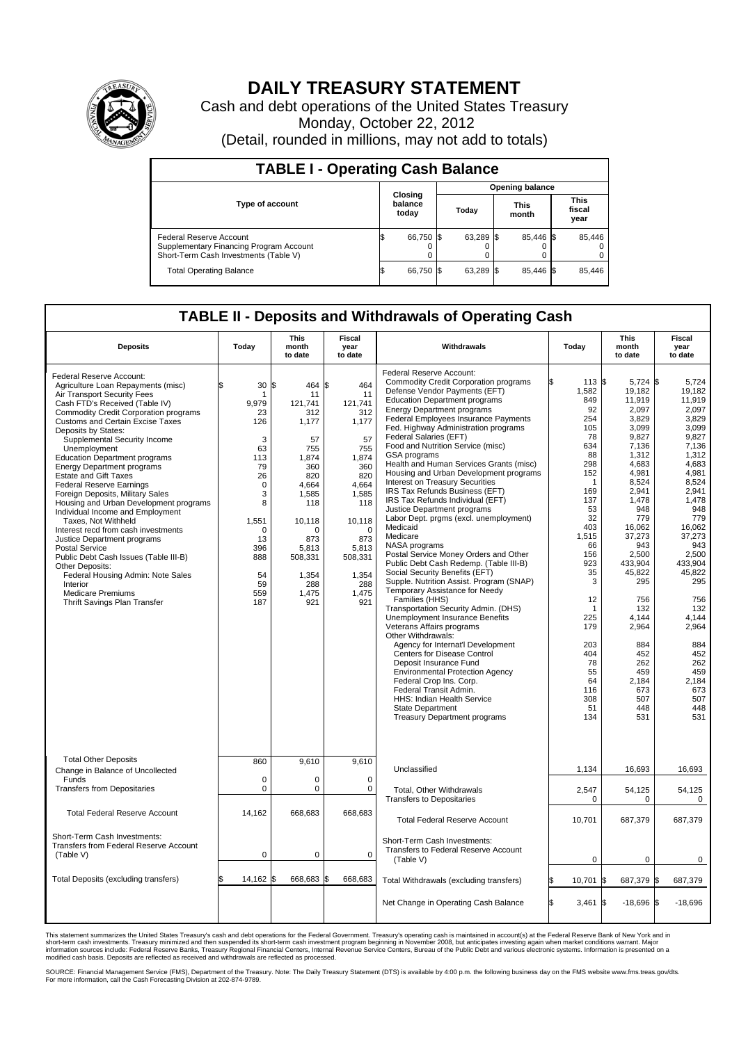

## **DAILY TREASURY STATEMENT**

Cash and debt operations of the United States Treasury Monday, October 22, 2012 (Detail, rounded in millions, may not add to totals)

| <b>TABLE I - Operating Cash Balance</b>                                                                     |                             |        |       |                 |     |                      |  |                               |  |  |
|-------------------------------------------------------------------------------------------------------------|-----------------------------|--------|-------|-----------------|-----|----------------------|--|-------------------------------|--|--|
|                                                                                                             |                             |        |       | Opening balance |     |                      |  |                               |  |  |
| <b>Type of account</b>                                                                                      | Closing<br>balance<br>today |        | Today |                 |     | <b>This</b><br>month |  | <b>This</b><br>fiscal<br>year |  |  |
| Federal Reserve Account<br>Supplementary Financing Program Account<br>Short-Term Cash Investments (Table V) | S,                          | 66,750 |       | 63,289 \$       |     | 85,446 \$<br>0       |  | 85,446                        |  |  |
| <b>Total Operating Balance</b>                                                                              | ß.                          | 66,750 |       | 63,289          | -15 | 85.446 \$            |  | 85,446                        |  |  |

## **TABLE II - Deposits and Withdrawals of Operating Cash**

| <b>Deposits</b>                                                                                                                                                                                                                                                                                                                                                                                                                                                                                                                                                                                                                                                                                                                                                                                                                                             | Todav                                                                                                                                                   | This<br>month<br>to date                                                                                                                                                                  | Fiscal<br>vear<br>to date                                                                                                                                                                 | Withdrawals                                                                                                                                                                                                                                                                                                                                                                                                                                                                                                                                                                                                                                                                                                                                                                                                                                                                                                                                                                                                                                                                                                                                                                                                                                                                                                                  | Todav                                                                                                                                                                                                                                         | This<br>month<br>to date                                                                                                                                                                                                                                                                                       | Fiscal<br>vear<br>to date                                                                                                                                                                                                                                                                                   |
|-------------------------------------------------------------------------------------------------------------------------------------------------------------------------------------------------------------------------------------------------------------------------------------------------------------------------------------------------------------------------------------------------------------------------------------------------------------------------------------------------------------------------------------------------------------------------------------------------------------------------------------------------------------------------------------------------------------------------------------------------------------------------------------------------------------------------------------------------------------|---------------------------------------------------------------------------------------------------------------------------------------------------------|-------------------------------------------------------------------------------------------------------------------------------------------------------------------------------------------|-------------------------------------------------------------------------------------------------------------------------------------------------------------------------------------------|------------------------------------------------------------------------------------------------------------------------------------------------------------------------------------------------------------------------------------------------------------------------------------------------------------------------------------------------------------------------------------------------------------------------------------------------------------------------------------------------------------------------------------------------------------------------------------------------------------------------------------------------------------------------------------------------------------------------------------------------------------------------------------------------------------------------------------------------------------------------------------------------------------------------------------------------------------------------------------------------------------------------------------------------------------------------------------------------------------------------------------------------------------------------------------------------------------------------------------------------------------------------------------------------------------------------------|-----------------------------------------------------------------------------------------------------------------------------------------------------------------------------------------------------------------------------------------------|----------------------------------------------------------------------------------------------------------------------------------------------------------------------------------------------------------------------------------------------------------------------------------------------------------------|-------------------------------------------------------------------------------------------------------------------------------------------------------------------------------------------------------------------------------------------------------------------------------------------------------------|
| Federal Reserve Account:<br>Agriculture Loan Repayments (misc)<br>Air Transport Security Fees<br>Cash FTD's Received (Table IV)<br><b>Commodity Credit Corporation programs</b><br><b>Customs and Certain Excise Taxes</b><br>Deposits by States:<br>Supplemental Security Income<br>Unemployment<br><b>Education Department programs</b><br><b>Energy Department programs</b><br><b>Estate and Gift Taxes</b><br><b>Federal Reserve Earnings</b><br>Foreign Deposits, Military Sales<br>Housing and Urban Development programs<br>Individual Income and Employment<br>Taxes, Not Withheld<br>Interest recd from cash investments<br>Justice Department programs<br>Postal Service<br>Public Debt Cash Issues (Table III-B)<br>Other Deposits:<br>Federal Housing Admin: Note Sales<br>Interior<br><b>Medicare Premiums</b><br>Thrift Savings Plan Transfer | 30<br>1<br>9,979<br>23<br>126<br>3<br>63<br>113<br>79<br>26<br>$\mathbf 0$<br>3<br>8<br>1,551<br>$\Omega$<br>13<br>396<br>888<br>54<br>59<br>559<br>187 | l\$<br>464<br>11<br>121,741<br>312<br>1,177<br>57<br>755<br>1.874<br>360<br>820<br>4,664<br>1,585<br>118<br>10,118<br>$\Omega$<br>873<br>5,813<br>508,331<br>1.354<br>288<br>1.475<br>921 | l\$<br>464<br>11<br>121,741<br>312<br>1,177<br>57<br>755<br>1.874<br>360<br>820<br>4,664<br>1,585<br>118<br>10,118<br>$\Omega$<br>873<br>5,813<br>508,331<br>1.354<br>288<br>1,475<br>921 | Federal Reserve Account:<br><b>Commodity Credit Corporation programs</b><br>Defense Vendor Payments (EFT)<br><b>Education Department programs</b><br><b>Energy Department programs</b><br>Federal Employees Insurance Payments<br>Fed. Highway Administration programs<br>Federal Salaries (EFT)<br>Food and Nutrition Service (misc)<br>GSA programs<br>Health and Human Services Grants (misc)<br>Housing and Urban Development programs<br><b>Interest on Treasury Securities</b><br>IRS Tax Refunds Business (EFT)<br>IRS Tax Refunds Individual (EFT)<br>Justice Department programs<br>Labor Dept. prgms (excl. unemployment)<br>Medicaid<br>Medicare<br>NASA programs<br>Postal Service Money Orders and Other<br>Public Debt Cash Redemp. (Table III-B)<br>Social Security Benefits (EFT)<br>Supple. Nutrition Assist. Program (SNAP)<br>Temporary Assistance for Needy<br>Families (HHS)<br>Transportation Security Admin. (DHS)<br>Unemployment Insurance Benefits<br>Veterans Affairs programs<br>Other Withdrawals:<br>Agency for Internat'l Development<br>Centers for Disease Control<br>Deposit Insurance Fund<br><b>Environmental Protection Agency</b><br>Federal Crop Ins. Corp.<br>Federal Transit Admin.<br>HHS: Indian Health Service<br><b>State Department</b><br><b>Treasury Department programs</b> | 113 \$<br>1,582<br>849<br>92<br>254<br>105<br>78<br>634<br>88<br>298<br>152<br>1<br>169<br>137<br>53<br>32<br>403<br>1,515<br>66<br>156<br>923<br>35<br>3<br>12<br>1<br>225<br>179<br>203<br>404<br>78<br>55<br>64<br>116<br>308<br>51<br>134 | 5,724 \$<br>19,182<br>11,919<br>2.097<br>3,829<br>3,099<br>9.827<br>7,136<br>1,312<br>4.683<br>4,981<br>8.524<br>2,941<br>1,478<br>948<br>779<br>16,062<br>37,273<br>943<br>2,500<br>433,904<br>45,822<br>295<br>756<br>132<br>4,144<br>2,964<br>884<br>452<br>262<br>459<br>2,184<br>673<br>507<br>448<br>531 | 5,724<br>19,182<br>11.919<br>2.097<br>3,829<br>3.099<br>9,827<br>7,136<br>1,312<br>4.683<br>4,981<br>8.524<br>2,941<br>1,478<br>948<br>779<br>16,062<br>37,273<br>943<br>2,500<br>433,904<br>45,822<br>295<br>756<br>132<br>4,144<br>2,964<br>884<br>452<br>262<br>459<br>2,184<br>673<br>507<br>448<br>531 |
| <b>Total Other Deposits</b><br>Change in Balance of Uncollected<br>Funds<br><b>Transfers from Depositaries</b>                                                                                                                                                                                                                                                                                                                                                                                                                                                                                                                                                                                                                                                                                                                                              | 860<br>0<br>0                                                                                                                                           | 9,610<br>0<br>$\mathbf 0$                                                                                                                                                                 | 9,610<br>$\mathbf 0$<br>$\mathbf 0$                                                                                                                                                       | Unclassified<br><b>Total. Other Withdrawals</b>                                                                                                                                                                                                                                                                                                                                                                                                                                                                                                                                                                                                                                                                                                                                                                                                                                                                                                                                                                                                                                                                                                                                                                                                                                                                              | 1,134<br>2,547                                                                                                                                                                                                                                | 16,693<br>54,125                                                                                                                                                                                                                                                                                               | 16,693<br>54.125                                                                                                                                                                                                                                                                                            |
| <b>Total Federal Reserve Account</b>                                                                                                                                                                                                                                                                                                                                                                                                                                                                                                                                                                                                                                                                                                                                                                                                                        | 14,162                                                                                                                                                  | 668,683                                                                                                                                                                                   | 668,683                                                                                                                                                                                   | <b>Transfers to Depositaries</b><br><b>Total Federal Reserve Account</b>                                                                                                                                                                                                                                                                                                                                                                                                                                                                                                                                                                                                                                                                                                                                                                                                                                                                                                                                                                                                                                                                                                                                                                                                                                                     | 0<br>10,701                                                                                                                                                                                                                                   | 0<br>687,379                                                                                                                                                                                                                                                                                                   | 0<br>687,379                                                                                                                                                                                                                                                                                                |
| Short-Term Cash Investments:<br><b>Transfers from Federal Reserve Account</b><br>(Table V)                                                                                                                                                                                                                                                                                                                                                                                                                                                                                                                                                                                                                                                                                                                                                                  | 0                                                                                                                                                       | $\mathbf 0$                                                                                                                                                                               | 0                                                                                                                                                                                         | Short-Term Cash Investments:<br>Transfers to Federal Reserve Account<br>(Table V)                                                                                                                                                                                                                                                                                                                                                                                                                                                                                                                                                                                                                                                                                                                                                                                                                                                                                                                                                                                                                                                                                                                                                                                                                                            | $\mathbf 0$                                                                                                                                                                                                                                   | 0                                                                                                                                                                                                                                                                                                              | $\mathbf 0$                                                                                                                                                                                                                                                                                                 |
| Total Deposits (excluding transfers)                                                                                                                                                                                                                                                                                                                                                                                                                                                                                                                                                                                                                                                                                                                                                                                                                        | 14,162                                                                                                                                                  | 668,683<br>l\$                                                                                                                                                                            | 668,683                                                                                                                                                                                   | Total Withdrawals (excluding transfers)                                                                                                                                                                                                                                                                                                                                                                                                                                                                                                                                                                                                                                                                                                                                                                                                                                                                                                                                                                                                                                                                                                                                                                                                                                                                                      | 10,701                                                                                                                                                                                                                                        | 687,379 \$<br>ß.                                                                                                                                                                                                                                                                                               | 687,379                                                                                                                                                                                                                                                                                                     |
|                                                                                                                                                                                                                                                                                                                                                                                                                                                                                                                                                                                                                                                                                                                                                                                                                                                             |                                                                                                                                                         |                                                                                                                                                                                           |                                                                                                                                                                                           | Net Change in Operating Cash Balance                                                                                                                                                                                                                                                                                                                                                                                                                                                                                                                                                                                                                                                                                                                                                                                                                                                                                                                                                                                                                                                                                                                                                                                                                                                                                         | $3,461$ \$<br>l\$                                                                                                                                                                                                                             | $-18,696$ \$                                                                                                                                                                                                                                                                                                   | $-18,696$                                                                                                                                                                                                                                                                                                   |

This statement summarizes the United States Treasury's cash and debt operations for the Federal Government. Treasury's operating cash is maintained in account(s) at the Federal Reserve Bank of New York and in<br>short-term ca

SOURCE: Financial Management Service (FMS), Department of the Treasury. Note: The Daily Treasury Statement (DTS) is available by 4:00 p.m. the following business day on the FMS website www.fms.treas.gov/dts.<br>For more infor